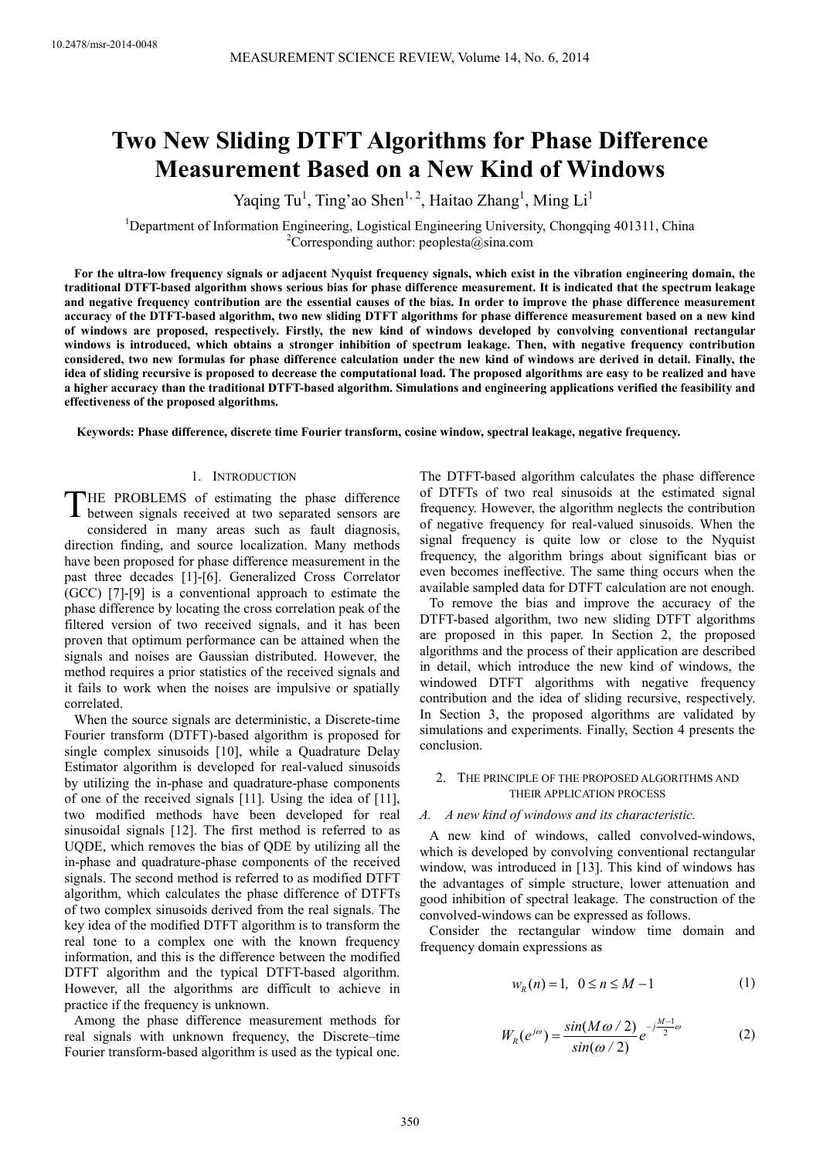# **Two New Sliding DTFT Algorithms for Phase Difference Measurement Based on a New Kind of Windows**

Yaqing Tu<sup>1</sup>, Ting'ao Shen<sup>1, 2</sup>, Haitao Zhang<sup>1</sup>, Ming Li<sup>1</sup>

<sup>1</sup>Department of Information Engineering, Logistical Engineering University, Chongqing 401311, China <sup>2</sup>Corresponding author: peoplesta@sina.com

**For the ultra-low frequency signals or adjacent Nyquist frequency signals, which exist in the vibration engineering domain, the traditional DTFT-based algorithm shows serious bias for phase difference measurement. It is indicated that the spectrum leakage and negative frequency contribution are the essential causes of the bias. In order to improve the phase difference measurement accuracy of the DTFT-based algorithm, two new sliding DTFT algorithms for phase difference measurement based on a new kind of windows are proposed, respectively. Firstly, the new kind of windows developed by convolving conventional rectangular windows is introduced, which obtains a stronger inhibition of spectrum leakage. Then, with negative frequency contribution considered, two new formulas for phase difference calculation under the new kind of windows are derived in detail. Finally, the idea of sliding recursive is proposed to decrease the computational load. The proposed algorithms are easy to be realized and have a higher accuracy than the traditional DTFT-based algorithm. Simulations and engineering applications verified the feasibility and effectiveness of the proposed algorithms.** 

**Keywords: Phase difference, discrete time Fourier transform, cosine window, spectral leakage, negative frequency.** 

## 1. INTRODUCTION

HE PROBLEMS of estimating the phase difference THE PROBLEMS of estimating the phase difference<br>between signals received at two separated sensors are considered in many areas such as fault diagnosis, direction finding, and source localization. Many methods have been proposed for phase difference measurement in the past three decades [1]-[6]. Generalized Cross Correlator (GCC) [7]-[9] is a conventional approach to estimate the phase difference by locating the cross correlation peak of the filtered version of two received signals, and it has been proven that optimum performance can be attained when the signals and noises are Gaussian distributed. However, the method requires a prior statistics of the received signals and it fails to work when the noises are impulsive or spatially correlated.

When the source signals are deterministic, a Discrete-time Fourier transform (DTFT)-based algorithm is proposed for single complex sinusoids [10], while a Quadrature Delay Estimator algorithm is developed for real-valued sinusoids by utilizing the in-phase and quadrature-phase components of one of the received signals [11]. Using the idea of [11], two modified methods have been developed for real sinusoidal signals [12]. The first method is referred to as UQDE, which removes the bias of QDE by utilizing all the in-phase and quadrature-phase components of the received signals. The second method is referred to as modified DTFT algorithm, which calculates the phase difference of DTFTs of two complex sinusoids derived from the real signals. The key idea of the modified DTFT algorithm is to transform the real tone to a complex one with the known frequency information, and this is the difference between the modified DTFT algorithm and the typical DTFT-based algorithm. However, all the algorithms are difficult to achieve in practice if the frequency is unknown.

Among the phase difference measurement methods for real signals with unknown frequency, the Discrete–time Fourier transform-based algorithm is used as the typical one.

The DTFT-based algorithm calculates the phase difference of DTFTs of two real sinusoids at the estimated signal frequency. However, the algorithm neglects the contribution of negative frequency for real-valued sinusoids. When the signal frequency is quite low or close to the Nyquist frequency, the algorithm brings about significant bias or even becomes ineffective. The same thing occurs when the available sampled data for DTFT calculation are not enough.

To remove the bias and improve the accuracy of the DTFT-based algorithm, two new sliding DTFT algorithms are proposed in this paper. In Section 2, the proposed algorithms and the process of their application are described in detail, which introduce the new kind of windows, the windowed DTFT algorithms with negative frequency contribution and the idea of sliding recursive, respectively. In Section 3, the proposed algorithms are validated by simulations and experiments. Finally, Section 4 presents the conclusion.

#### 2. THE PRINCIPLE OF THE PROPOSED ALGORITHMS AND THEIR APPLICATION PROCESS

#### *A. A new kind of windows and its characteristic.*

A new kind of windows, called convolved-windows, which is developed by convolving conventional rectangular window, was introduced in [13]. This kind of windows has the advantages of simple structure, lower attenuation and good inhibition of spectral leakage. The construction of the convolved-windows can be expressed as follows.

Consider the rectangular window time domain and frequency domain expressions as

$$
w_R(n) = 1, \ \ 0 \le n \le M - 1 \tag{1}
$$

$$
W_R(e^{j\omega}) = \frac{\sin(M\omega/2)}{\sin(\omega/2)} e^{-j\frac{M-1}{2}\omega}
$$
 (2)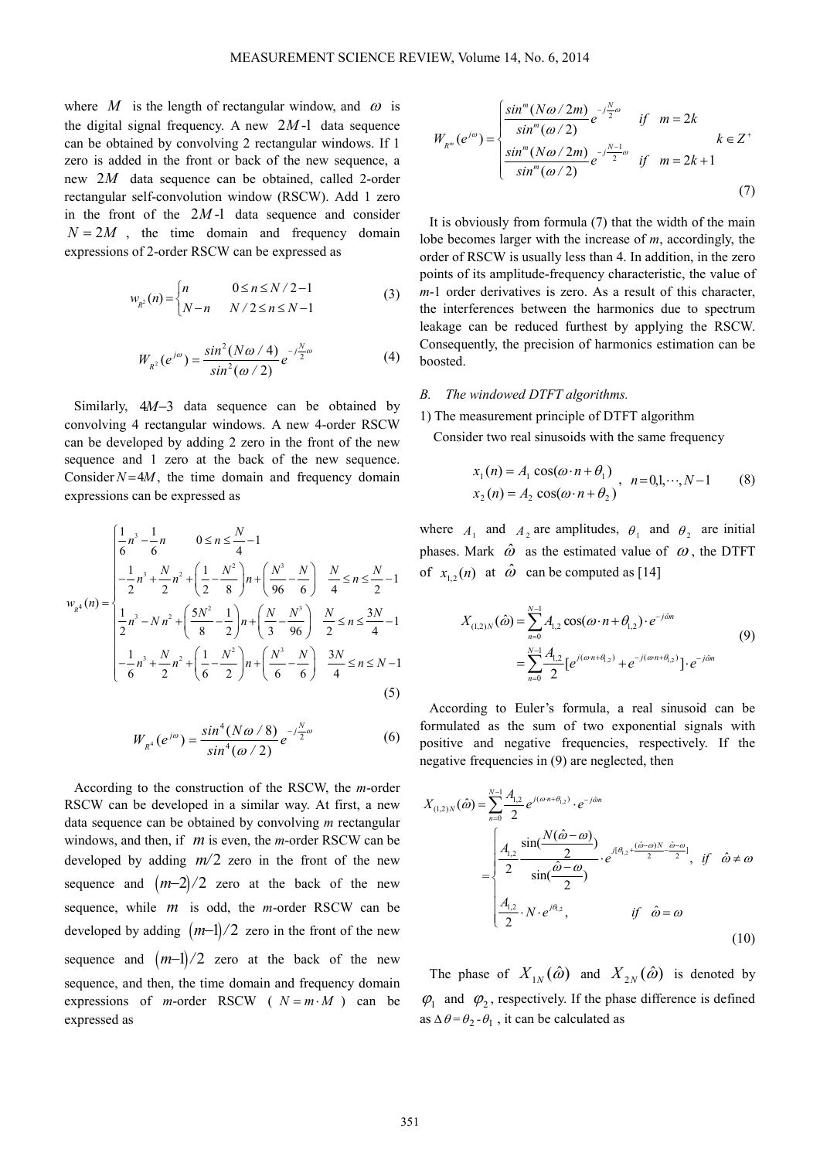where *M* is the length of rectangular window, and  $\omega$  is the digital signal frequency. A new  $2M-1$  data sequence can be obtained by convolving 2 rectangular windows. If 1 zero is added in the front or back of the new sequence, a new 2*M* data sequence can be obtained, called 2-order rectangular self-convolution window (RSCW). Add 1 zero in the front of the  $2M-1$  data sequence and consider  $N = 2M$ , the time domain and frequency domain expressions of 2-order RSCW can be expressed as

$$
w_{R^2}(n) = \begin{cases} n & 0 \le n \le N/2 - 1 \\ N - n & N/2 \le n \le N - 1 \end{cases}
$$
 (3)

$$
W_{R^2}(e^{j\omega}) = \frac{\sin^2(N\omega/4)}{\sin^2(\omega/2)} e^{-j\frac{N}{2}\omega}
$$
 (4)

Similarly, 4*M*−3 data sequence can be obtained by convolving 4 rectangular windows. A new 4-order RSCW can be developed by adding 2 zero in the front of the new sequence and 1 zero at the back of the new sequence. Consider  $N = 4M$ , the time domain and frequency domain expressions can be expressed as

$$
w_{R^4}(n) = \begin{cases} \frac{1}{6}n^3 - \frac{1}{6}n & 0 \le n \le \frac{N}{4} - 1\\ -\frac{1}{2}n^3 + \frac{N}{2}n^2 + \left(\frac{1}{2} - \frac{N^2}{8}\right)n + \left(\frac{N^3}{96} - \frac{N}{6}\right) & \frac{N}{4} \le n \le \frac{N}{2} - 1\\ \frac{1}{2}n^3 - Nn^2 + \left(\frac{5N^2}{8} - \frac{1}{2}\right)n + \left(\frac{N}{3} - \frac{N^3}{96}\right) & \frac{N}{2} \le n \le \frac{3N}{4} - 1\\ -\frac{1}{6}n^3 + \frac{N}{2}n^2 + \left(\frac{1}{6} - \frac{N^2}{2}\right)n + \left(\frac{N^3}{6} - \frac{N}{6}\right) & \frac{3N}{4} \le n \le N - 1\\ (5) \end{cases}
$$

$$
W_{R^4}(e^{j\omega}) = \frac{\sin^4(N\omega/8)}{\sin^4(\omega/2)} e^{-j\frac{N}{2}\omega}
$$
 (6)

According to the construction of the RSCW, the *m*-order RSCW can be developed in a similar way. At first, a new data sequence can be obtained by convolving *m* rectangular windows, and then, if *m* is even, the *m*-order RSCW can be developed by adding  $m/2$  zero in the front of the new sequence and  $(m-2)/2$  zero at the back of the new sequence, while *m* is odd, the *m*-order RSCW can be developed by adding  $(m-1)/2$  zero in the front of the new sequence and  $(m-1)/2$  zero at the back of the new sequence, and then, the time domain and frequency domain expressions of *m*-order RSCW ( $N = m \cdot M$ ) can be expressed as

$$
W_{R^m}(e^{j\omega}) = \begin{cases} \frac{\sin^m (N\omega/2m)}{\sin^m (\omega/2)} e^{-j\frac{N}{2}\omega} & \text{if } m = 2k\\ \frac{\sin^m (N\omega/2m)}{\sin^m (N\omega/2)} e^{-j\frac{N-1}{2}\omega} & \text{if } m = 2k+1\\ \end{cases} k \in Z^+ \tag{7}
$$

It is obviously from formula (7) that the width of the main lobe becomes larger with the increase of *m*, accordingly, the order of RSCW is usually less than 4. In addition, in the zero points of its amplitude-frequency characteristic, the value of *m*-1 order derivatives is zero. As a result of this character, the interferences between the harmonics due to spectrum leakage can be reduced furthest by applying the RSCW. Consequently, the precision of harmonics estimation can be boosted.

#### *B. The windowed DTFT algorithms.*

1) The measurement principle of DTFT algorithm

Consider two real sinusoids with the same frequency

$$
x_1(n) = A_1 \cos(\omega \cdot n + \theta_1)
$$
  
\n
$$
x_2(n) = A_2 \cos(\omega \cdot n + \theta_2), \quad n = 0, 1, \dots, N - 1
$$
 (8)

where  $A_1$  and  $A_2$  are amplitudes,  $\theta_1$  and  $\theta_2$  are initial phases. Mark  $\hat{\omega}$  as the estimated value of  $\omega$ , the DTFT of  $x_{1,2}(n)$  at  $\hat{\omega}$  can be computed as [14]

$$
X_{(1,2)N}(\hat{\omega}) = \sum_{n=0}^{N-1} A_{1,2} \cos(\omega \cdot n + \theta_{1,2}) \cdot e^{-j\hat{\omega}n}
$$
  
= 
$$
\sum_{n=0}^{N-1} \frac{A_{1,2}}{2} [e^{j(\omega n + \theta_{1,2})} + e^{-j(\omega n + \theta_{1,2})}] \cdot e^{-j\hat{\omega}n}
$$
 (9)

According to Euler's formula, a real sinusoid can be formulated as the sum of two exponential signals with positive and negative frequencies, respectively. If the negative frequencies in (9) are neglected, then

$$
X_{(1,2)N}(\hat{\omega}) = \sum_{n=0}^{N-1} \frac{A_{1,2}}{2} e^{j(\omega n + \theta_{1,2})} \cdot e^{-j\hat{\omega}n}
$$
  

$$
= \begin{cases} \frac{A_{1,2}}{2} \frac{\sin(\frac{N(\hat{\omega} - \omega)}{2})}{\sin(\frac{\hat{\omega} - \omega}{2})} \cdot e^{j[\theta_{1,2} + \frac{(\hat{\omega} - \omega)N}{2} - \frac{\hat{\omega} - \omega}{2}]}, & \text{if } \hat{\omega} \neq \omega \\ \frac{A_{1,2}}{2} \cdot N \cdot e^{j\theta_{1,2}}, & \text{if } \hat{\omega} = \omega \end{cases}
$$
(10)

The phase of  $X_{1N}(\hat{\omega})$  and  $X_{2N}(\hat{\omega})$  is denoted by  $\varphi_1$  and  $\varphi_2$ , respectively. If the phase difference is defined as  $\Delta \theta = \theta_2 - \theta_1$ , it can be calculated as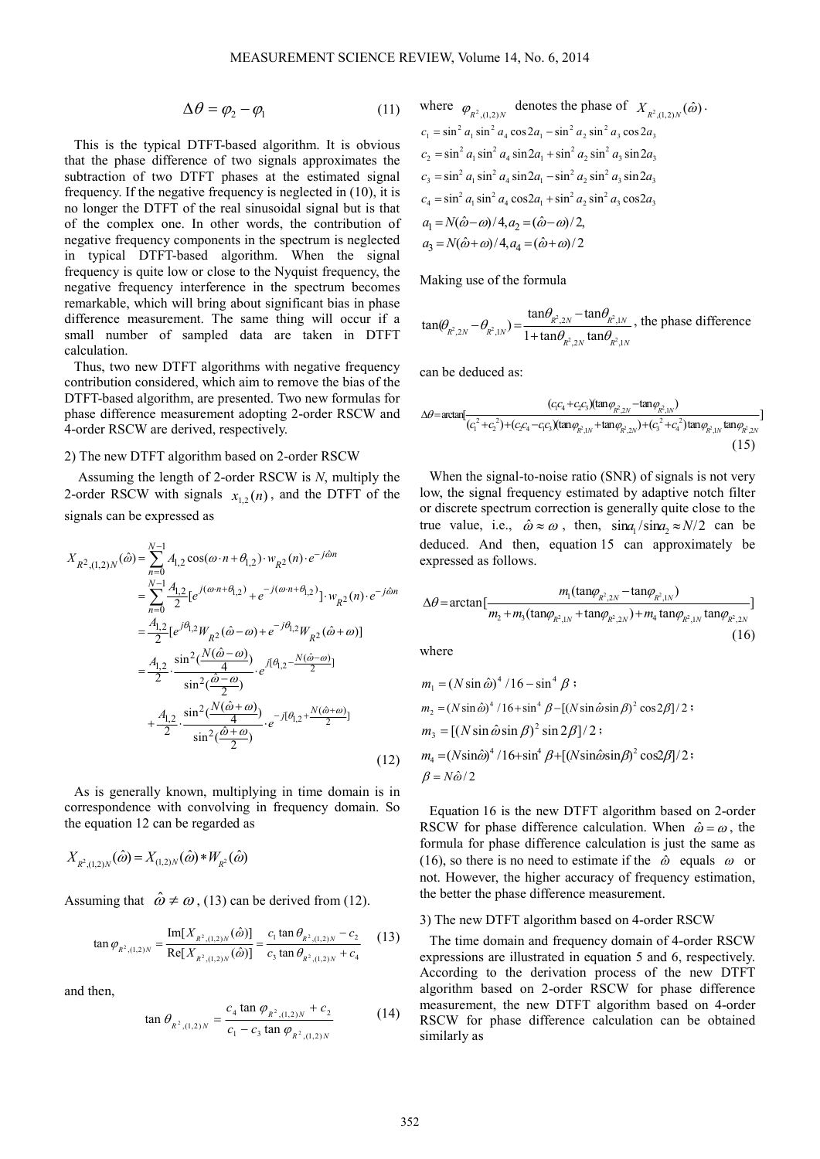$$
\Delta \theta = \varphi_2 - \varphi_1 \tag{11}
$$

This is the typical DTFT-based algorithm. It is obvious that the phase difference of two signals approximates the subtraction of two DTFT phases at the estimated signal frequency. If the negative frequency is neglected in (10), it is no longer the DTFT of the real sinusoidal signal but is that of the complex one. In other words, the contribution of negative frequency components in the spectrum is neglected in typical DTFT-based algorithm. When the signal frequency is quite low or close to the Nyquist frequency, the negative frequency interference in the spectrum becomes remarkable, which will bring about significant bias in phase difference measurement. The same thing will occur if a small number of sampled data are taken in DTFT calculation.

Thus, two new DTFT algorithms with negative frequency contribution considered, which aim to remove the bias of the DTFT-based algorithm, are presented. Two new formulas for phase difference measurement adopting 2-order RSCW and 4-order RSCW are derived, respectively.

#### 2) The new DTFT algorithm based on 2-order RSCW

Assuming the length of 2-order RSCW is *N*, multiply the 2-order RSCW with signals  $x_{1,2}(n)$ , and the DTFT of the signals can be expressed as

$$
X_{R^2,(1,2)N}(\hat{\omega}) = \sum_{n=0}^{N-1} A_{1,2} \cos(\omega \cdot n + \theta_{1,2}) \cdot w_{R^2}(n) \cdot e^{-j\hat{\omega}n}
$$
  
\n
$$
= \sum_{n=0}^{N-1} \frac{A_{1,2}}{2} [e^{j(\omega \cdot n + \theta_{1,2})} + e^{-j(\omega \cdot n + \theta_{1,2})}] \cdot w_{R^2}(n) \cdot e^{-j\hat{\omega}n}
$$
  
\n
$$
= \frac{A_{1,2}}{2} [e^{j\theta_{1,2}} W_{R^2}(\hat{\omega} - \omega) + e^{-j\theta_{1,2}} W_{R^2}(\hat{\omega} + \omega)]
$$
  
\n
$$
= \frac{A_{1,2}}{2} \cdot \frac{\sin^2(\frac{N(\hat{\omega} - \omega)}{4})}{\sin^2(\frac{\hat{\omega} - \omega}{2})} \cdot e^{j[\theta_{1,2} - \frac{N(\hat{\omega} - \omega)}{2}]} \cdot e^{-j[\theta_{1,2} + \frac{N(\hat{\omega} + \omega)}{2}]} \cdot e^{-j[\theta_{1,2} + \frac{N(\hat{\omega} + \omega)}{2}]} \cdot e^{-j[\theta_{1,2} + \frac{N(\hat{\omega} + \omega)}{2}]} \cdot (12)
$$

As is generally known, multiplying in time domain is in correspondence with convolving in frequency domain. So the equation 12 can be regarded as

$$
X_{R^2,(1,2)N}(\hat{\omega}) = X_{(1,2)N}(\hat{\omega}) * W_{R^2}(\hat{\omega})
$$

Assuming that  $\hat{\omega} \neq \omega$ , (13) can be derived from (12).

$$
\tan \varphi_{R^2,(1,2)N} = \frac{\text{Im}[X_{R^2,(1,2)N}(\hat{\omega})]}{\text{Re}[X_{R^2,(1,2)N}(\hat{\omega})]} = \frac{c_1 \tan \theta_{R^2,(1,2)N} - c_2}{c_3 \tan \theta_{R^2,(1,2)N} + c_4}
$$
(13)

and then,

$$
\tan \theta_{R^2,(1,2)N} = \frac{c_4 \tan \varphi_{R^2,(1,2)N} + c_2}{c_1 - c_3 \tan \varphi_{R^2,(1,2)N}}
$$
(14)

where 
$$
\varphi_{R^2,(1,2)N}
$$
 denotes the phase of  $X_{R^2,(1,2)N}(\hat{\omega})$ .  
\n $c_1 = \sin^2 a_1 \sin^2 a_4 \cos 2a_1 - \sin^2 a_2 \sin^2 a_3 \cos 2a_3$   
\n $c_2 = \sin^2 a_1 \sin^2 a_4 \sin 2a_1 + \sin^2 a_2 \sin^2 a_3 \sin 2a_3$   
\n $c_3 = \sin^2 a_1 \sin^2 a_4 \sin 2a_1 - \sin^2 a_2 \sin^2 a_3 \sin 2a_3$   
\n $c_4 = \sin^2 a_1 \sin^2 a_4 \cos 2a_1 + \sin^2 a_2 \sin^2 a_3 \cos 2a_3$   
\n $a_1 = N(\hat{\omega} - \omega)/4, a_2 = (\hat{\omega} - \omega)/2,$   
\n $a_3 = N(\hat{\omega} + \omega)/4, a_4 = (\hat{\omega} + \omega)/2$ 

Making use of the formula

$$
\tan(\theta_{R^2,2N} - \theta_{R^2,1N}) = \frac{\tan \theta_{R^2,2N} - \tan \theta_{R^2,1N}}{1 + \tan \theta_{R^2,2N} \tan \theta_{R^2,1N}}
$$
, the phase difference

can be deduced as:

$$
\Delta \theta = \arctan\left[\frac{(c_1 c_4 + c_2 c_3)(\tan \varphi_{\vec{k}^2,2N} - \tan \varphi_{\vec{k}^2,1N})}{(c_1^2 + c_2^2) + (c_2 c_4 - c_1 c_3)(\tan \varphi_{\vec{k}^2,1N} + \tan \varphi_{\vec{k}^2,2N}) + (c_3^2 + c_4^2)\tan \varphi_{\vec{k}^2,1N}\tan \varphi_{\vec{k}^2,2N}\right]
$$
\n(15)

When the signal-to-noise ratio (SNR) of signals is not very low, the signal frequency estimated by adaptive notch filter or discrete spectrum correction is generally quite close to the true value, i.e.,  $\hat{\omega} \approx \omega$ , then,  $\sin\alpha_1 / \sin\alpha_2 \approx N/2$  can be deduced. And then, equation 15 can approximately be expressed as follows.

$$
\Delta \theta = \arctan\left[\frac{m_1(\tan\varphi_{R^2,2N} - \tan\varphi_{R^2,1N})}{m_2 + m_3(\tan\varphi_{R^2,1N} + \tan\varphi_{R^2,2N}) + m_4 \tan\varphi_{R^2,1N} \tan\varphi_{R^2,2N}}\right]
$$
(16)

where

$$
m_1 = (N \sin \hat{\omega})^4 / 16 - \sin^4 \beta ;
$$
  
\n
$$
m_2 = (N \sin \hat{\omega})^4 / 16 + \sin^4 \beta - [(N \sin \hat{\omega} \sin \beta)^2 \cos 2\beta] / 2 ;
$$
  
\n
$$
m_3 = [(N \sin \hat{\omega} \sin \beta)^2 \sin 2\beta] / 2 ;
$$
  
\n
$$
m_4 = (N \sin \hat{\omega})^4 / 16 + \sin^4 \beta + [(N \sin \hat{\omega} \sin \beta)^2 \cos 2\beta] / 2 ;
$$
  
\n
$$
\beta = N \hat{\omega} / 2
$$

Equation 16 is the new DTFT algorithm based on 2-order RSCW for phase difference calculation. When  $\hat{\omega} = \omega$ , the formula for phase difference calculation is just the same as (16), so there is no need to estimate if the  $\hat{\omega}$  equals  $\omega$  or not. However, the higher accuracy of frequency estimation, the better the phase difference measurement.

#### 3) The new DTFT algorithm based on 4-order RSCW

The time domain and frequency domain of 4-order RSCW expressions are illustrated in equation 5 and 6, respectively. According to the derivation process of the new DTFT algorithm based on 2-order RSCW for phase difference measurement, the new DTFT algorithm based on 4-order RSCW for phase difference calculation can be obtained similarly as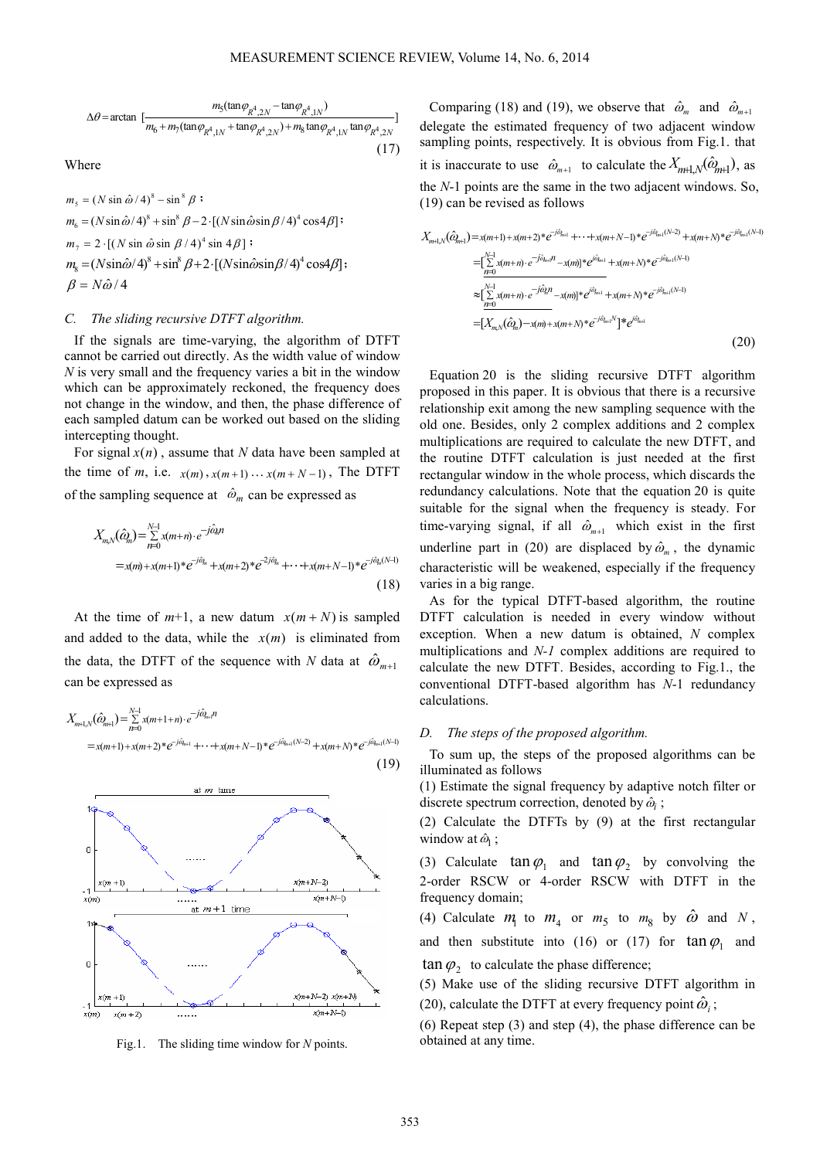$$
\Delta \theta = \arctan \left[ \frac{m_5 (\tan \varphi_{R^4,2N} - \tan \varphi_{R^4,1N})}{m_6 + m_7 (\tan \varphi_{R^4,1N} + \tan \varphi_{R^4,2N}) + m_8 \tan \varphi_{R^4,1N} \tan \varphi_{R^4,2N}} \right]
$$
\n(17)

Where

 $m_5 = (N \sin \hat{\omega} / 4)^8 - \sin^8 \beta$ ;  $m_6 = (N \sin \hat{\omega} / 4)^8 + \sin^8 \beta - 2 \cdot [(N \sin \hat{\omega} \sin \beta / 4)^4 \cos 4\beta]$  $m_7 = 2 \cdot [(N \sin \hat{\omega} \sin \beta / 4)^4 \sin 4 \beta]$ ;  $m_{\rm s} = (N\sin\hat{\omega}/4)^8 + \sin^8\beta + 2\cdot[(N\sin\hat{\omega}\sin\beta/4)^4\cos 4\beta];$  $\beta = N\hat{\omega}/4$ 

#### *C. The sliding recursive DTFT algorithm.*

If the signals are time-varying, the algorithm of DTFT cannot be carried out directly. As the width value of window *N* is very small and the frequency varies a bit in the window which can be approximately reckoned, the frequency does not change in the window, and then, the phase difference of each sampled datum can be worked out based on the sliding intercepting thought.

For signal  $x(n)$ , assume that *N* data have been sampled at the time of *m*, i.e.  $x(m)$ ,  $x(m+1)$   $\ldots$   $x(m+N-1)$ , The DTFT of the sampling sequence at  $\hat{\omega}_m$  can be expressed as

$$
X_{m,N}(\hat{\omega}_m) = \sum_{n=0}^{N-1} x(m+n) \cdot e^{-j\hat{\omega}_m n}
$$
  
=  $x(m) + x(m+1) * e^{-j\hat{\omega}_m} + x(m+2) * e^{-2j\hat{\omega}_m} + \dots + x(m+N-1) * e^{-j\hat{\omega}_m(N-1)}$  (18)

At the time of  $m+1$ , a new datum  $x(m+N)$  is sampled and added to the data, while the  $x(m)$  is eliminated from the data, the DTFT of the sequence with *N* data at  $\hat{\omega}_{m+1}$ can be expressed as

 $\alpha_{n+1}(\hat{\omega}_{n+1}) = \sum_{n=0}^{\infty} x(m+1+n) \cdot e^{-j\alpha_{n+1}}$ 

1



Fig.1. The sliding time window for *N* points.

Comparing (18) and (19), we observe that  $\hat{\omega}_m$  and  $\hat{\omega}_{m+1}$ delegate the estimated frequency of two adjacent window sampling points, respectively. It is obvious from Fig.1. that it is inaccurate to use  $\hat{\omega}_{m+1}$  to calculate the  $X_{m+1,N}(\hat{\omega}_{m+1})$ , as the *N*-1 points are the same in the two adjacent windows. So, (19) can be revised as follows

$$
X_{m+1,N}(\hat{a}_{m+1}) = x(m+1) + x(m+2) * e^{-j\hat{a}_{m+1}} + \cdots + x(m+N-1) * e^{-j\hat{a}_{m+1}(N-2)} + x(m+N) * e^{-j\hat{a}_{m+1}(N-1)}
$$
  
\n=
$$
\left[ \sum_{n=0}^{N-1} x(m+n) \cdot e^{-j\hat{a}_{m+1}n} - x(m) \right] * e^{j\hat{a}_{m+1}} + x(m+N) * e^{-j\hat{a}_{m+1}(N-1)}
$$
  
\n
$$
\approx \left[ \sum_{n=0}^{N-1} x(m+n) \cdot e^{-j\hat{a}_{n}n} - x(m) \right] * e^{j\hat{a}_{m+1}} + x(m+N) * e^{-j\hat{a}_{m+1}(N-1)}
$$
  
\n=
$$
\left[ X_{m,N}(\hat{a}_{m}) - x(m) + x(m+N) * e^{-j\hat{a}_{m+1}N} \right] * e^{j\hat{a}_{m+1}}
$$
  
\n(20)

Equation 20 is the sliding recursive DTFT algorithm proposed in this paper. It is obvious that there is a recursive relationship exit among the new sampling sequence with the old one. Besides, only 2 complex additions and 2 complex multiplications are required to calculate the new DTFT, and the routine DTFT calculation is just needed at the first rectangular window in the whole process, which discards the redundancy calculations. Note that the equation 20 is quite suitable for the signal when the frequency is steady. For time-varying signal, if all  $\hat{\omega}_{m+1}$  which exist in the first underline part in (20) are displaced by  $\hat{\omega}_m$ , the dynamic characteristic will be weakened, especially if the frequency varies in a big range.

As for the typical DTFT-based algorithm, the routine DTFT calculation is needed in every window without exception. When a new datum is obtained, *N* complex multiplications and *N-1* complex additions are required to calculate the new DTFT. Besides, according to Fig.1., the conventional DTFT-based algorithm has *N*-1 redundancy calculations.

#### *D. The steps of the proposed algorithm.*

To sum up, the steps of the proposed algorithms can be illuminated as follows

(1) Estimate the signal frequency by adaptive notch filter or discrete spectrum correction, denoted by  $\hat{\omega}_i$ ;

(2) Calculate the DTFTs by (9) at the first rectangular window at  $\hat{\omega}_1$ ;

(3) Calculate  $\tan \varphi_1$  and  $\tan \varphi_2$  by convolving the 2-order RSCW or 4-order RSCW with DTFT in the frequency domain;

(4) Calculate  $m_1$  to  $m_4$  or  $m_5$  to  $m_8$  by  $\hat{\omega}$  and  $N$ , and then substitute into (16) or (17) for  $\tan \varphi_1$  and  $\tan \varphi_2$  to calculate the phase difference;

(5) Make use of the sliding recursive DTFT algorithm in (20), calculate the DTFT at every frequency point  $\hat{\omega}_i$ ;

(6) Repeat step (3) and step (4), the phase difference can be obtained at any time.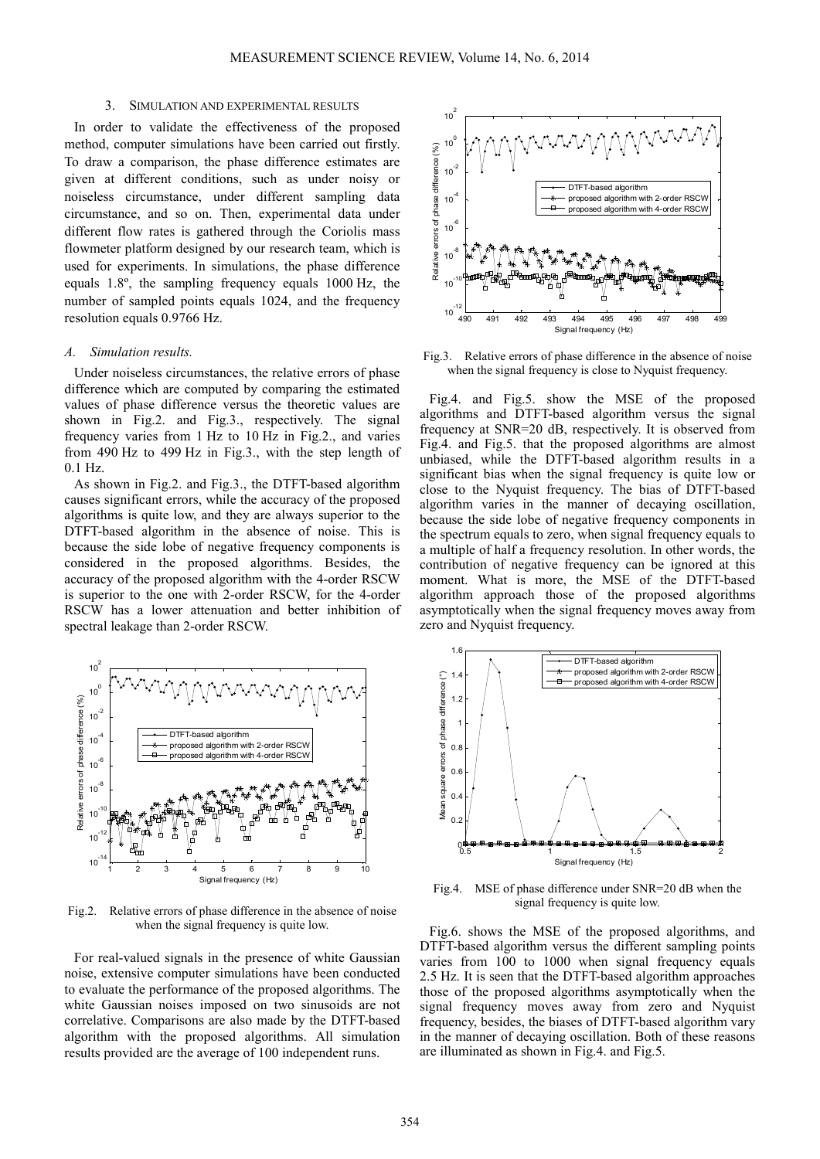#### 3. SIMULATION AND EXPERIMENTAL RESULTS

In order to validate the effectiveness of the proposed method, computer simulations have been carried out firstly. To draw a comparison, the phase difference estimates are given at different conditions, such as under noisy or noiseless circumstance, under different sampling data circumstance, and so on. Then, experimental data under different flow rates is gathered through the Coriolis mass flowmeter platform designed by our research team, which is used for experiments. In simulations, the phase difference equals 1.8º, the sampling frequency equals 1000 Hz, the number of sampled points equals 1024, and the frequency resolution equals 0.9766 Hz.

#### *A. Simulation results.*

Under noiseless circumstances, the relative errors of phase difference which are computed by comparing the estimated values of phase difference versus the theoretic values are shown in Fig.2. and Fig.3., respectively. The signal frequency varies from 1 Hz to 10 Hz in Fig.2., and varies from 490 Hz to 499 Hz in Fig.3., with the step length of 0.1 Hz.

As shown in Fig.2. and Fig.3., the DTFT-based algorithm causes significant errors, while the accuracy of the proposed algorithms is quite low, and they are always superior to the DTFT-based algorithm in the absence of noise. This is because the side lobe of negative frequency components is considered in the proposed algorithms. Besides, the accuracy of the proposed algorithm with the 4-order RSCW is superior to the one with 2-order RSCW, for the 4-order RSCW has a lower attenuation and better inhibition of spectral leakage than 2-order RSCW.



Fig.2. Relative errors of phase difference in the absence of noise when the signal frequency is quite low.

For real-valued signals in the presence of white Gaussian noise, extensive computer simulations have been conducted to evaluate the performance of the proposed algorithms. The white Gaussian noises imposed on two sinusoids are not correlative. Comparisons are also made by the DTFT-based algorithm with the proposed algorithms. All simulation results provided are the average of 100 independent runs.



Fig.3. Relative errors of phase difference in the absence of noise when the signal frequency is close to Nyquist frequency.

Fig.4. and Fig.5. show the MSE of the proposed algorithms and DTFT-based algorithm versus the signal frequency at SNR=20 dB, respectively. It is observed from Fig.4. and Fig.5. that the proposed algorithms are almost unbiased, while the DTFT-based algorithm results in a significant bias when the signal frequency is quite low or close to the Nyquist frequency. The bias of DTFT-based algorithm varies in the manner of decaying oscillation, because the side lobe of negative frequency components in the spectrum equals to zero, when signal frequency equals to a multiple of half a frequency resolution. In other words, the contribution of negative frequency can be ignored at this moment. What is more, the MSE of the DTFT-based algorithm approach those of the proposed algorithms asymptotically when the signal frequency moves away from zero and Nyquist frequency.



Fig.4. MSE of phase difference under SNR=20 dB when the signal frequency is quite low.

Fig.6. shows the MSE of the proposed algorithms, and DTFT-based algorithm versus the different sampling points varies from 100 to 1000 when signal frequency equals 2.5 Hz. It is seen that the DTFT-based algorithm approaches those of the proposed algorithms asymptotically when the signal frequency moves away from zero and Nyquist frequency, besides, the biases of DTFT-based algorithm vary in the manner of decaying oscillation. Both of these reasons are illuminated as shown in Fig.4. and Fig.5.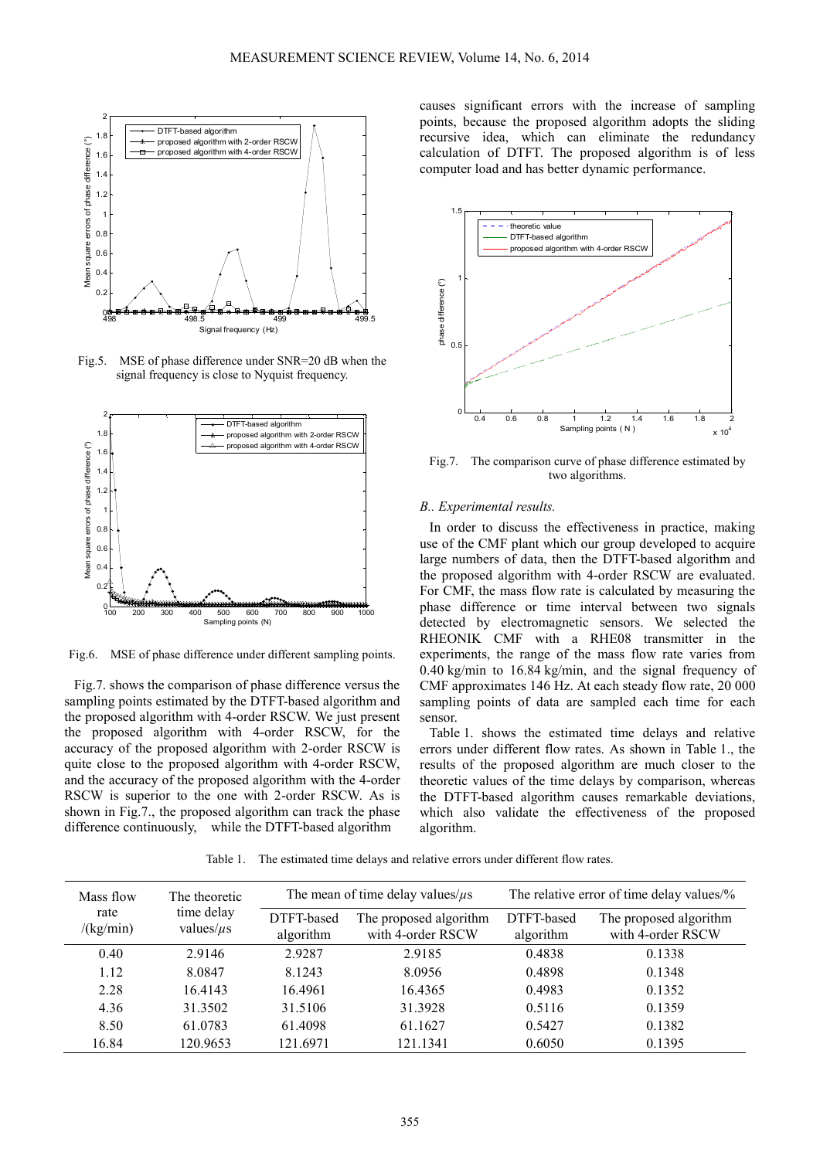

Fig.5. MSE of phase difference under SNR=20 dB when the signal frequency is close to Nyquist frequency.



Fig.6. MSE of phase difference under different sampling points.

Fig.7. shows the comparison of phase difference versus the sampling points estimated by the DTFT-based algorithm and the proposed algorithm with 4-order RSCW. We just present the proposed algorithm with 4-order RSCW, for the accuracy of the proposed algorithm with 2-order RSCW is quite close to the proposed algorithm with 4-order RSCW, and the accuracy of the proposed algorithm with the 4-order RSCW is superior to the one with 2-order RSCW. As is shown in Fig.7., the proposed algorithm can track the phase difference continuously, while the DTFT-based algorithm

causes significant errors with the increase of sampling points, because the proposed algorithm adopts the sliding recursive idea, which can eliminate the redundancy calculation of DTFT. The proposed algorithm is of less computer load and has better dynamic performance.



Fig.7. The comparison curve of phase difference estimated by two algorithms.

## *B.. Experimental results.*

In order to discuss the effectiveness in practice, making use of the CMF plant which our group developed to acquire large numbers of data, then the DTFT-based algorithm and the proposed algorithm with 4-order RSCW are evaluated. For CMF, the mass flow rate is calculated by measuring the phase difference or time interval between two signals detected by electromagnetic sensors. We selected the RHEONIK CMF with a RHE08 transmitter in the experiments, the range of the mass flow rate varies from 0.40 kg/min to 16.84 kg/min, and the signal frequency of CMF approximates 146 Hz. At each steady flow rate, 20 000 sampling points of data are sampled each time for each sensor.

Table 1. shows the estimated time delays and relative errors under different flow rates. As shown in Table 1., the results of the proposed algorithm are much closer to the theoretic values of the time delays by comparison, whereas the DTFT-based algorithm causes remarkable deviations, which also validate the effectiveness of the proposed algorithm.

Table 1. The estimated time delays and relative errors under different flow rates.

| Mass flow<br>rate<br>/(kg/min) | The theoretic<br>time delay<br>values/ $\mu$ s | The mean of time delay values/ $\mu$ s |                                             | The relative error of time delay values/% |                                             |
|--------------------------------|------------------------------------------------|----------------------------------------|---------------------------------------------|-------------------------------------------|---------------------------------------------|
|                                |                                                | DTFT-based<br>algorithm                | The proposed algorithm<br>with 4-order RSCW | DTFT-based<br>algorithm                   | The proposed algorithm<br>with 4-order RSCW |
| 0.40                           | 2.9146                                         | 2.9287                                 | 2.9185                                      | 0.4838                                    | 0.1338                                      |
| 1.12                           | 8.0847                                         | 8.1243                                 | 8.0956                                      | 0.4898                                    | 0.1348                                      |
| 2.28                           | 16.4143                                        | 16.4961                                | 16.4365                                     | 0.4983                                    | 0.1352                                      |
| 4.36                           | 31.3502                                        | 31.5106                                | 31.3928                                     | 0.5116                                    | 0.1359                                      |
| 8.50                           | 61.0783                                        | 61.4098                                | 61.1627                                     | 0.5427                                    | 0.1382                                      |
| 16.84                          | 120.9653                                       | 121.6971                               | 121.1341                                    | 0.6050                                    | 0.1395                                      |